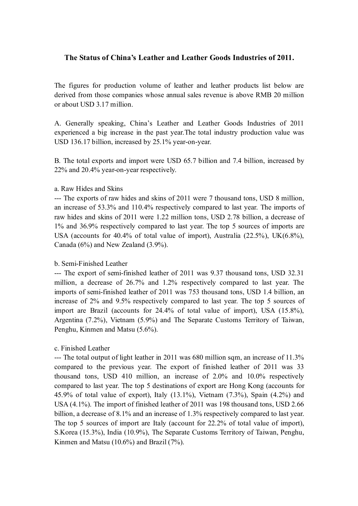# **The Status of China's Leather and Leather Goods Industries of 2011.**

The figures for production volume of leather and leather products list below are derived from those companies whose annual sales revenue is above RMB 20 million or about USD 3.17 million.

A. Generally speaking, China's Leather and Leather Goods Industries of 2011 experienced a big increase in the past year.The total industry production value was USD 136.17 billion, increased by 25.1% year-on-year.

B. The total exports and import were USD 65.7 billion and 7.4 billion, increased by 22% and 20.4% year-on-year respectively.

### a. Raw Hides and Skins

--- The exports of raw hides and skins of 2011 were 7 thousand tons, USD 8 million, an increase of 53.3% and 110.4% respectively compared to last year. The imports of raw hides and skins of 2011 were 1.22 million tons, USD 2.78 billion, a decrease of 1% and 36.9% respectively compared to last year. The top 5 sources of imports are USA (accounts for 40.4% of total value of import), Australia (22.5%), UK(6.8%), Canada (6%) and New Zealand (3.9%).

## b. Semi-Finished Leather

--- The export of semi-finished leather of 2011 was 9.37 thousand tons, USD 32.31 million, a decrease of 26.7% and 1.2% respectively compared to last year. The imports of semi-finished leather of 2011 was 753 thousand tons, USD 1.4 billion, an increase of 2% and 9.5% respectively compared to last year. The top 5 sources of import are Brazil (accounts for 24.4% of total value of import), USA (15.8%), Argentina (7.2%), Vietnam (5.9%) and The Separate Customs Territory of Taiwan, Penghu, Kinmen and Matsu (5.6%).

## c. Finished Leather

--- The total output of light leather in 2011 was 680 million sqm, an increase of 11.3% compared to the previous year. The export of finished leather of 2011 was 33 thousand tons, USD 410 million, an increase of 2.0% and 10.0% respectively compared to last year. The top 5 destinations of export are Hong Kong (accounts for 45.9% of total value of export), Italy (13.1%), Vietnam (7.3%), Spain (4.2%) and USA (4.1%). The import of finished leather of 2011 was 198 thousand tons, USD 2.66 billion, a decrease of 8.1% and an increase of 1.3% respectively compared to last year. The top 5 sources of import are Italy (account for 22.2% of total value of import), S.Korea (15.3%), India (10.9%), The Separate Customs Territory of Taiwan, Penghu, Kinmen and Matsu (10.6%) and Brazil (7%).